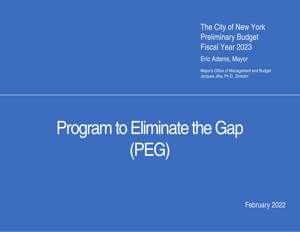The City of New York Preliminary Budget Fiscal Year 2023

Eric Adams, Mayor

Mayor's Office of Management and Budget Jacques Jiha, Ph.D., Director

# Program to Eliminate the Gap (PEG)

February 2022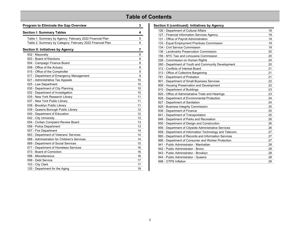# **Table of Contents**

| <b>Program to Eliminate the Gap Overview</b>               | 3  |
|------------------------------------------------------------|----|
| <b>Section I: Summary Tables</b>                           | 4  |
| Table 1: Summary by Agency: February 2022 Financial Plan   | 5  |
| Table 2: Summary by Category: February 2022 Financial Plan | 6  |
| Section II: Initiatives by Agency                          | 7  |
| 002 - Mayoralty                                            | 8  |
| 003 - Board of Elections                                   | 8  |
| 004 - Campaign Finance Board                               | 8  |
| 008 - Office of the Actuary                                | 9  |
| 015 - Office of the Comptroller                            | 9  |
| 017 - Department of Emergency Management                   | 9  |
| 021 - Administrative Tax Appeals                           | 10 |
| 025 - Law Department                                       | 10 |
| 030 - Department of City Planning                          | 10 |
| 032 - Department of Investigation                          | 10 |
| 035 - New York Research Library                            | 11 |
| 037 - New York Public Library                              | 11 |
| 038 - Brooklyn Public Library                              | 11 |
| 039 - Queens Borough Public Library                        | 12 |
| 040 - Department of Education                              | 12 |
| 042 - City University                                      | 13 |
| 054 - Civilian Complaint Review Board                      | 13 |
| 056 - Police Department                                    | 13 |
| 057 - Fire Department                                      | 14 |
| 063 - Department of Veterans' Services                     | 14 |
| 068 - Administration for Children's Services               | 14 |
| 069 - Department of Social Services                        | 15 |
| 071 - Department of Homeless Services                      | 16 |
| 073 - Board of Correction                                  | 16 |
| 098 - Miscellaneous                                        | 16 |
| 099 - Debt Service                                         | 17 |
| 103 - City Clerk                                           | 17 |
| 125 - Department for the Aging                             | 18 |

| Section II (continued): Initiatives by Agency           |    |
|---------------------------------------------------------|----|
| 126 - Department of Cultural Affairs                    | 18 |
| 127 - Financial Information Services Agency             | 18 |
| 131 - Office of Payroll Administration                  | 19 |
| 133 - Equal Employment Practices Commission             | 19 |
| 134 - Civil Service Commission                          | 19 |
| 136 - Landmarks Preservation Commission                 | 20 |
| 156 - NYC Taxi and Limousine Commission                 | 20 |
| 226 - Commission on Human Rights                        | 20 |
| 260 - Department of Youth and Community Development     | 20 |
| 312 - Conflicts of Interest Board                       | 21 |
| 313 - Office of Collective Bargaining                   | 21 |
| 781 - Department of Probation                           | 21 |
| 801 - Department of Small Business Services             | 22 |
| 806 - Housing Preservation and Development              | 22 |
| 810 - Department of Buildings                           | 23 |
| 820 - Office of Administrative Trials and Hearings      | 23 |
| 826 - Department of Environmental Protection            | 24 |
| 827 - Department of Sanitation                          | 24 |
| 829 - Business Integrity Commission                     | 25 |
| 836 - Department of Finance                             | 25 |
| 841 - Department of Transportation                      | 25 |
| 846 - Department of Parks and Recreation                | 26 |
| 850 - Department of Design and Construction             | 26 |
| 856 - Department of Citywide Administrative Services    | 26 |
| 858 - Department of Information Technology and Telecom. | 27 |
| 860 - Department of Records and Information Services    | 27 |
| 866 - Department of Consumer and Worker Protection      | 27 |
| 941 - Public Administrator - Manhattan                  | 28 |
| 942 - Public Administrator - Bronx                      | 28 |
| 943 - Public Administrator - Brooklyn                   | 28 |
| 944 - Public Administrator - Queens                     | 28 |
| 998 - OTPS Inflation                                    | 29 |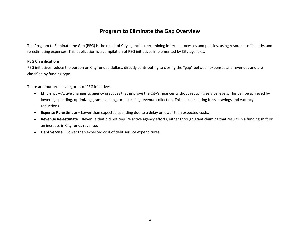#### **Program to Eliminate the Gap Overview**

The Program to Eliminate the Gap (PEG) is the result of City agencies reexamining internal processes and policies, using resources efficiently, and re-estimating expenses. This publication is a compilation of PEG initiatives implemented by City agencies.

#### **PEG Classifications**

PEG initiatives reduce the burden on City funded dollars, directly contributing to closing the "gap" between expenses and revenues and are classified by funding type.

There are four broad categories of PEG initiatives:

- **Efficiency**  Active changes to agency practices that improve the City's finances without reducing service levels. This can be achieved by lowering spending, optimizing grant claiming, or increasing revenue collection. This includes hiring freeze savings and vacancy reductions.
- **Expense Re-estimate**  Lower than expected spending due to a delay or lower than expected costs.
- **Revenue Re-estimate**  Revenue that did not require active agency efforts, either through grant claiming that results in a funding shift or an increase in City funds revenue.
- **Debt Service**  Lower than expected cost of debt service expenditures.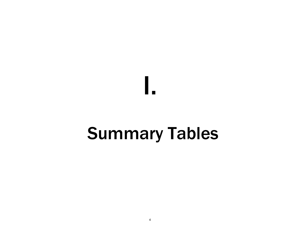# Summary Tables

I.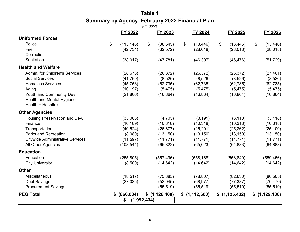# **Table 1 Summary by Agency: February 2022 Financial Plan**

|                                         |    |            | $$$ in 000's |               |                |               |                 |                 |
|-----------------------------------------|----|------------|--------------|---------------|----------------|---------------|-----------------|-----------------|
|                                         |    | FY 2022    |              | FY 2023       |                | FY 2024       | FY 2025         | FY 2026         |
| <b>Uniformed Forces</b>                 |    |            |              |               |                |               |                 |                 |
| Police                                  | \$ | (113, 146) | \$           | (38, 545)     | $\mathfrak{F}$ | (13, 446)     | \$<br>(13, 446) | \$<br>(13, 446) |
| Fire                                    |    | (42, 734)  |              | (32, 572)     |                | (28, 018)     | (28, 018)       | (28, 018)       |
| Correction                              |    |            |              |               |                |               |                 |                 |
| Sanitation                              |    | (38, 017)  |              | (47, 781)     |                | (46, 307)     | (46, 476)       | (51, 729)       |
| <b>Health and Welfare</b>               |    |            |              |               |                |               |                 |                 |
| Admin. for Children's Services          |    | (28, 678)  |              | (26, 372)     |                | (26, 372)     | (26, 372)       | (27, 461)       |
| <b>Social Services</b>                  |    | (41, 769)  |              | (8,526)       |                | (8,526)       | (8,526)         | (8,526)         |
| <b>Homeless Services</b>                |    | (45, 753)  |              | (62, 735)     |                | (62, 735)     | (62, 735)       | (62, 735)       |
| Aging                                   |    | (10, 197)  |              | (5, 475)      |                | (5, 475)      | (5, 475)        | (5, 475)        |
| Youth and Community Dev.                |    | (21, 866)  |              | (16, 864)     |                | (16, 864)     | (16, 864)       | (16, 864)       |
| Health and Mental Hygiene               |    |            |              |               |                |               |                 |                 |
| Health + Hospitals                      |    |            |              |               |                |               |                 |                 |
| <b>Other Agencies</b>                   |    |            |              |               |                |               |                 |                 |
| Housing Preservation and Dev.           |    | (35,083)   |              | (4,705)       |                | (3, 191)      | (3, 118)        | (3, 118)        |
| Finance                                 |    | (10, 189)  |              | (10, 318)     |                | (10, 318)     | (10, 318)       | (10, 318)       |
| Transportation                          |    | (40, 524)  |              | (26, 677)     |                | (25, 291)     | (25, 262)       | (25, 100)       |
| <b>Parks and Recreation</b>             |    | (8,080)    |              | (13, 150)     |                | (13, 150)     | (13, 150)       | (13, 150)       |
| <b>Citywide Administrative Services</b> |    | (11, 597)  |              | (11, 771)     |                | (11, 771)     | (11, 771)       | (11, 771)       |
| All Other Agencies                      |    | (108, 544) |              | (65, 822)     |                | (65, 023)     | (64, 883)       | (64, 883)       |
| <b>Education</b>                        |    |            |              |               |                |               |                 |                 |
| Education                               |    | (255, 805) |              | (557, 496)    |                | (558, 168)    | (558, 840)      | (559, 456)      |
| <b>City University</b>                  |    | (8,500)    |              | (14, 642)     |                | (14, 642)     | (14, 642)       | (14, 642)       |
| <b>Other</b>                            |    |            |              |               |                |               |                 |                 |
| Miscellaneous                           |    | (18, 517)  |              | (75, 385)     |                | (78, 807)     | (82, 630)       | (86, 505)       |
| Debt Savings                            |    | (27, 035)  |              | (52,045)      |                | (68, 977)     | (77, 387)       | (70, 470)       |
| <b>Procurement Savings</b>              |    |            |              | (55, 519)     |                | (55, 519)     | (55, 519)       | (55, 519)       |
| <b>PEG Total</b>                        | S. | (866, 034) |              | \$(1,126,400) |                | \$(1,112,600) | \$(1,125,432)   | \$(1,129,186)   |
|                                         |    | \$         | (1,992,434)  |               |                |               |                 |                 |
|                                         |    |            |              |               |                |               |                 |                 |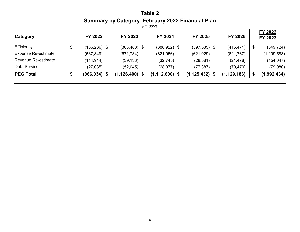# **Table 2 Summary by Category: February 2022 Financial Plan**

| <b>Category</b>            | FY 2022         | FY 2023            | FY 2024         | FY 2025         | FY 2026       | FY 2022 +<br>FY 2023 |
|----------------------------|-----------------|--------------------|-----------------|-----------------|---------------|----------------------|
| Efficiency                 | $(186, 236)$ \$ | $(363, 488)$ \$    | $(388, 922)$ \$ | $(397, 535)$ \$ | (415, 471)    | (549, 724)<br>\$     |
| <b>Expense Re-estimate</b> | (537, 849)      | (671, 734)         | (621, 956)      | (621, 929)      | (621, 767)    | (1, 209, 583)        |
| Revenue Re-estimate        | (114, 914)      | (39, 133)          | (32, 745)       | (28, 581)       | (21, 478)     | (154, 047)           |
| <b>Debt Service</b>        | (27, 035)       | (52,045)           | (68, 977)       | (77, 387)       | (70, 470)     | (79,080)             |
| <b>PEG Total</b>           | $(866, 034)$ \$ | $(1, 126, 400)$ \$ | (1, 112, 600)   | (1, 125, 432)   | (1, 129, 186) | (1,992,434)          |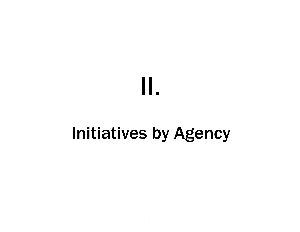# II.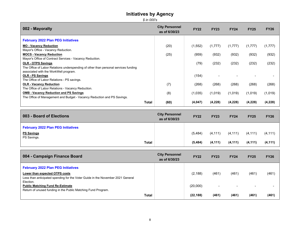*\$ in 000's*

| 002 - Mayoralty                                                                                                          | <b>City Personnel</b><br>as of 6/30/23 | <b>FY22</b> | <b>FY23</b> | <b>FY24</b> | <b>FY25</b> | <b>FY26</b> |
|--------------------------------------------------------------------------------------------------------------------------|----------------------------------------|-------------|-------------|-------------|-------------|-------------|
| <b>February 2022 Plan PEG Initiatives</b>                                                                                |                                        |             |             |             |             |             |
| <b>MO - Vacancy Reduction</b>                                                                                            | (20)                                   | (1, 552)    | (1,777)     | (1,777)     | (1,777)     | (1,777)     |
| Mayor's Office - Vacancy Reduction.                                                                                      |                                        |             |             |             |             |             |
| <b>MOCS - Vacancy Reduction</b>                                                                                          | (25)                                   | (959)       | (932)       | (932)       | (932)       | (932)       |
| Mayor's Office of Contract Services - Vacancy Reduction.                                                                 |                                        |             |             |             |             |             |
| <b>OLR - OTPS Savings</b>                                                                                                |                                        | (79)        | (232)       | (232)       | (232)       | (232)       |
| The Office of Labor Relations underspending of other than personal services funding                                      |                                        |             |             |             |             |             |
| associated with the WorkWell program.                                                                                    |                                        |             |             |             |             |             |
| <b>OLR - PS Savings</b>                                                                                                  |                                        | (154)       |             |             |             |             |
| The Office of Labor Relations - PS savings.                                                                              |                                        |             |             |             |             |             |
| <b>OLR - Vacancy Reduction</b>                                                                                           | (7)                                    | (268)       | (268)       | (268)       | (268)       | (268)       |
| The Office of Labor Relations - Vacancy Reduction.                                                                       |                                        |             |             |             |             |             |
| <b>OMB - Vacancy Reduction and PS Savings</b><br>The Office of Management and Budget - Vacancy Reduction and PS Savings. | (8)                                    | (1,035)     | (1,019)     | (1,019)     | (1,019)     | (1,019)     |
|                                                                                                                          |                                        |             |             |             |             |             |
| <b>Total</b>                                                                                                             | (60)                                   | (4,047)     | (4,228)     | (4, 228)    | (4,228)     | (4,228)     |

| 003 - Board of Elections                  | <b>City Personnel</b><br>as of 6/30/23 | <b>FY22</b> | <b>FY23</b> | <b>FY24</b> | <b>FY25</b> | <b>FY26</b> |
|-------------------------------------------|----------------------------------------|-------------|-------------|-------------|-------------|-------------|
| <b>February 2022 Plan PEG Initiatives</b> |                                        |             |             |             |             |             |
| <b>PS Savings</b>                         |                                        | (5, 484)    | (4, 111)    | (4, 111)    | (4, 111)    | (4, 111)    |
| PS Savings.<br><b>Total</b>               |                                        | (5, 484)    | (4, 111)    | (4, 111)    | (4, 111)    | (4, 111)    |

| 004 - Campaign Finance Board                                                    | <b>City Personnel</b><br>as of 6/30/23 | <b>FY22</b> | <b>FY23</b>              | <b>FY24</b>              | <b>FY25</b> | <b>FY26</b> |
|---------------------------------------------------------------------------------|----------------------------------------|-------------|--------------------------|--------------------------|-------------|-------------|
| <b>February 2022 Plan PEG Initiatives</b>                                       |                                        |             |                          |                          |             |             |
| Lower than expected OTPS costs                                                  |                                        | (2, 188)    | (461)                    | (461)                    | (461)       | (461)       |
| Less than anticipated spending for the Voter Guide in the November 2021 General |                                        |             |                          |                          |             |             |
| Election.                                                                       |                                        |             |                          |                          |             |             |
| <b>Public Matching Fund Re-Estimate</b>                                         |                                        | (20,000)    | $\overline{\phantom{0}}$ | $\overline{\phantom{0}}$ |             |             |
| Return of unused funding in the Public Matching Fund Program.                   |                                        |             |                          |                          |             |             |
| <b>Total</b>                                                                    |                                        | (22, 188)   | (461)                    | (461)                    | (461)       | (461)       |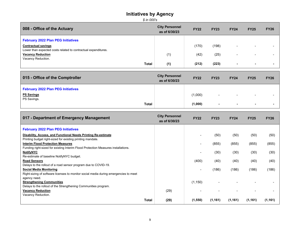| 008 - Office of the Actuary                                                                  | <b>City Personnel</b><br>as of 6/30/23 | <b>FY22</b> | <b>FY23</b> | <b>FY24</b>              | <b>FY25</b>              | <b>FY26</b> |
|----------------------------------------------------------------------------------------------|----------------------------------------|-------------|-------------|--------------------------|--------------------------|-------------|
| <b>February 2022 Plan PEG Initiatives</b>                                                    |                                        |             |             |                          |                          |             |
| <b>Contractual savings</b><br>Lower than expected costs related to contractual expenditures. |                                        | (170)       | (198)       | ۰                        |                          |             |
| <b>Vacancy Reduction</b><br>Vacancy Reduction.                                               | (1)                                    | (42)        | (25)        | $\overline{\phantom{0}}$ | $\overline{\phantom{0}}$ |             |
| Total                                                                                        | (1)                                    | (212)       | (223)       | $\overline{\phantom{a}}$ | $\sim$                   |             |

| 015 - Office of the Comptroller           | <b>City Personnel</b><br>as of 6/30/23 | <b>FY22</b> | <b>FY23</b> | <b>FY24</b> | <b>FY25</b> | <b>FY26</b> |
|-------------------------------------------|----------------------------------------|-------------|-------------|-------------|-------------|-------------|
| <b>February 2022 Plan PEG Initiatives</b> |                                        |             |             |             |             |             |
| <b>PS Savings</b>                         |                                        | (1,000)     | $\sim$      | $\sim$      | $\sim$      |             |
| PS Savings.<br><b>Total</b>               |                                        | (1,000)     | $\sim$      | $\sim$      | . .         |             |

| 017 - Department of Emergency Management                                             | <b>City Personnel</b><br>as of 6/30/23 | <b>FY22</b> | <b>FY23</b> | <b>FY24</b> | <b>FY25</b> | <b>FY26</b> |
|--------------------------------------------------------------------------------------|----------------------------------------|-------------|-------------|-------------|-------------|-------------|
| <b>February 2022 Plan PEG Initiatives</b>                                            |                                        |             |             |             |             |             |
| Disability, Access, and Functional Needs Printing Re-estimate                        |                                        |             | (50)        | (50)        | (50)        | (50)        |
| Printing budget right-sized for existing printing mandate.                           |                                        |             |             |             |             |             |
| <b>Interim Flood Protection Measures</b>                                             |                                        |             | (855)       | (855)       | (855)       | (855)       |
| Funding right-sized for existing Interim Flood Protection Measures installations.    |                                        |             |             |             |             |             |
| <b>NotifyNYC</b>                                                                     |                                        |             | (30)        | (30)        | (30)        | (30)        |
| Re-estimate of baseline NotifyNYC budget.                                            |                                        |             |             |             |             |             |
| <b>Road Sensors</b>                                                                  |                                        | (400)       | (40)        | (40)        | (40)        | (40)        |
| Delays to the rollout of a road sensor program due to COVID-19.                      |                                        |             |             |             |             |             |
| <b>Social Media Monitoring</b>                                                       |                                        |             | (186)       | (186)       | (186)       | (186)       |
| Right-sizing of software licenses to monitor social media during emergencies to meet |                                        |             |             |             |             |             |
| agency need.                                                                         |                                        |             |             |             |             |             |
| <b>Strengthening Communities</b>                                                     |                                        | (1, 150)    |             |             |             |             |
| Delays to the rollout of the Strengthening Communities program.                      |                                        |             |             |             |             |             |
| <b>Vacancy Reduction</b>                                                             | (29)                                   |             |             |             |             |             |
| Vacancy Reduction.                                                                   |                                        |             |             |             |             |             |
| <b>Total</b>                                                                         | (29)                                   | (1,550)     | (1, 161)    | (1, 161)    | (1, 161)    | (1, 161)    |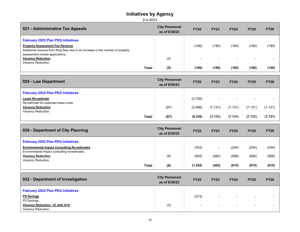*<sup>\$</sup> in 000's*

| 021 - Administrative Tax Appeals                                                 | <b>City Personnel</b><br>as of 6/30/23 | <b>FY22</b> | <b>FY23</b> | <b>FY24</b>              | <b>FY25</b> | <b>FY26</b> |
|----------------------------------------------------------------------------------|----------------------------------------|-------------|-------------|--------------------------|-------------|-------------|
| <b>February 2022 Plan PEG Initiatives</b>                                        |                                        |             |             |                          |             |             |
| <b>Property Assessment Fee Revenue</b>                                           |                                        | (180)       | (180)       | (180)                    | (180)       | (180)       |
| Additional revenue from filing fees due to an increase in the number of property |                                        |             |             |                          |             |             |
| assessment review applications.                                                  |                                        |             |             |                          |             |             |
| <b>Vacancy Reduction</b>                                                         | (2)                                    |             |             | $\overline{\phantom{0}}$ |             |             |
| Vacancy Reduction.                                                               |                                        |             |             |                          |             |             |
| Total                                                                            | (2)                                    | (180)       | (180)       | (180)                    | (180)       | (180)       |

| 025 - Law Department                                       | <b>City Personnel</b><br>as of 6/30/23 | <b>FY22</b> | <b>FY23</b> | <b>FY24</b> | <b>FY25</b> | <b>FY26</b> |
|------------------------------------------------------------|----------------------------------------|-------------|-------------|-------------|-------------|-------------|
| <b>February 2022 Plan PEG Initiatives</b>                  |                                        |             |             |             |             |             |
| Lease Re-estimate<br>Re-estimate for expected lease costs. |                                        | (2,750)     | -           | -           |             |             |
| <b>Vacancy Reduction</b><br>Vacancy Reduction.             | (97)                                   | (5,488)     | (7, 131)    | (7, 131)    | (7, 131)    | (7, 131)    |
| <b>Total</b>                                               | (97)                                   | (8, 238)    | (7, 131)    | (7, 131)    | (7, 131)    | (7, 131)    |

| 030 - Department of City Planning                                                                    | <b>City Personnel</b><br>as of 6/30/23 | <b>FY22</b> | <b>FY23</b> | <b>FY24</b> | <b>FY25</b> | <b>FY26</b> |
|------------------------------------------------------------------------------------------------------|----------------------------------------|-------------|-------------|-------------|-------------|-------------|
| <b>February 2022 Plan PEG Initiatives</b>                                                            |                                        |             |             |             |             |             |
| <b>Environmental Impact Consulting Re-estimates</b><br>Environmental impact consulting re-estimates. |                                        | (763)       | $\sim$      | (244)       | (244)       | (244)       |
| <b>Vacancy Reduction</b>                                                                             | (9)                                    | (482)       | (482)       | (566)       | (566)       | (566)       |
| Vacancy Reduction.<br>Total                                                                          | (9)                                    | (1, 245)    | (482)       | (810)       | (810)       | (810)       |

| 032 - Department of Investigation         | <b>City Personnel</b><br>as of 6/30/23 | <b>FY22</b>              | <b>FY23</b> | <b>FY24</b> | <b>FY25</b>              | <b>FY26</b> |
|-------------------------------------------|----------------------------------------|--------------------------|-------------|-------------|--------------------------|-------------|
| <b>February 2022 Plan PEG Initiatives</b> |                                        |                          |             |             |                          |             |
| <b>PS Savings</b>                         |                                        | (573)                    | $\sim$      | $\sim$      | $\sim$                   |             |
| PS Savings.                               |                                        |                          |             |             |                          |             |
| Vacancy Reduction - IC with H+H           | (3)                                    | $\overline{\phantom{a}}$ | $\sim$      | $\sim$      | $\overline{\phantom{a}}$ |             |
| Vacancy Reduction.                        |                                        |                          |             |             |                          |             |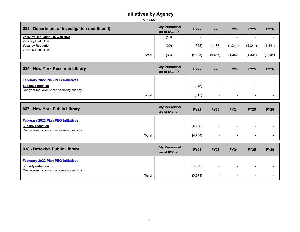| 032 - Department of Investigation (continued) | <b>City Personnel</b><br>as of 6/30/23 | <b>FY22</b> | <b>FY23</b> | <b>FY24</b>              | <b>FY25</b> | <b>FY26</b> |
|-----------------------------------------------|----------------------------------------|-------------|-------------|--------------------------|-------------|-------------|
| Vacancy Reduction - IC with HRA               | (10)                                   |             | $\sim$      | $\overline{\phantom{0}}$ |             |             |
| Vacancy Reduction.                            |                                        |             |             |                          |             |             |
| <b>Vacancy Reduction</b>                      | (20)                                   | (625)       | (1,487)     | (1,341)                  | (1,341)     | (1,341)     |
| Vacancy Reduction.                            |                                        |             |             |                          |             |             |
| Total                                         | (33)                                   | (1, 198)    | (1, 487)    | (1,341)                  | (1, 341)    | (1, 341)    |

| 035 - New York Research Library              | <b>City Personnel</b><br>as of 6/30/23 | <b>FY22</b> | <b>FY23</b> | <b>FY24</b>    | <b>FY25</b>              | <b>FY26</b> |
|----------------------------------------------|----------------------------------------|-------------|-------------|----------------|--------------------------|-------------|
| <b>February 2022 Plan PEG Initiatives</b>    |                                        |             |             |                |                          |             |
| <b>Subsidy reduction</b>                     |                                        | (945)       | $\sim$      | $\blacksquare$ | $\overline{\phantom{a}}$ |             |
| One year reduction to the operating subsidy. |                                        |             |             |                |                          |             |
| Total                                        |                                        | (945)       | $\sim$      | $\sim$         | $\sim$                   |             |

| 037 - New York Public Library                                            | <b>City Personnel</b><br>as of 6/30/23 | <b>FY22</b> | <b>FY23</b>              | <b>FY24</b>              | <b>FY25</b>              | <b>FY26</b> |
|--------------------------------------------------------------------------|----------------------------------------|-------------|--------------------------|--------------------------|--------------------------|-------------|
| <b>February 2022 Plan PEG Initiatives</b>                                |                                        |             |                          |                          |                          |             |
| <b>Subsidy reduction</b><br>One year reduction to the operating subsidy. |                                        | (4,760)     | $\overline{\phantom{0}}$ | $\overline{\phantom{a}}$ | $\overline{\phantom{0}}$ |             |
| <b>Total</b>                                                             |                                        | (4,760)     | ж.                       | $\sim$                   | $\sim$                   |             |

| 038 - Brooklyn Public Library                                            | <b>City Personnel</b><br>as of 6/30/23 | <b>FY22</b> | <b>FY23</b>              | <b>FY24</b>              | <b>FY25</b> | <b>FY26</b> |
|--------------------------------------------------------------------------|----------------------------------------|-------------|--------------------------|--------------------------|-------------|-------------|
| <b>February 2022 Plan PEG Initiatives</b>                                |                                        |             |                          |                          |             |             |
| <b>Subsidy reduction</b><br>One year reduction to the operating subsidy. |                                        | (3, 573)    | $\overline{\phantom{0}}$ | $\overline{\phantom{0}}$ | $\sim$      |             |
| <b>Total</b>                                                             |                                        | (3, 573)    | $\sim$                   | $\sim$                   |             |             |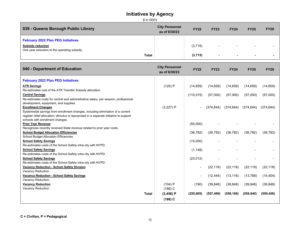*<sup>\$</sup> in 000's*

| 039 - Queens Borough Public Library                                      | <b>City Personnel</b><br>as of 6/30/23 | <b>FY22</b> | <b>FY23</b>    | <b>FY24</b> | <b>FY25</b> | <b>FY26</b> |
|--------------------------------------------------------------------------|----------------------------------------|-------------|----------------|-------------|-------------|-------------|
| <b>February 2022 Plan PEG Initiatives</b>                                |                                        |             |                |             |             |             |
| <b>Subsidy reduction</b><br>One year reduction to the operating subsidy. |                                        | (3,715)     | $\sim$         | $\sim$      | $\sim$      |             |
| <b>Total</b>                                                             |                                        | (3,715)     | $\blacksquare$ | $\sim$      | . .         |             |

| 040 - Department of Education                                                                 | <b>City Personnel</b><br>as of 6/30/23 | <b>FY22</b> | <b>FY23</b> | <b>FY24</b> | <b>FY25</b> | <b>FY26</b> |
|-----------------------------------------------------------------------------------------------|----------------------------------------|-------------|-------------|-------------|-------------|-------------|
| <b>February 2022 Plan PEG Initiatives</b>                                                     |                                        |             |             |             |             |             |
| <b>ATR Savings</b>                                                                            | (125) P                                | (14, 659)   | (14, 659)   | (14, 659)   | (14, 659)   | (14, 659)   |
| Re-estimates cost of the ATR Transfer Subsidy allocation.                                     |                                        |             |             |             |             |             |
| <b>Central Savings</b>                                                                        |                                        | (110, 015)  | (57,000)    | (57,000)    | (57,000)    | (57,000)    |
| Re-estimates costs for central and administrative salary, per session, professional           |                                        |             |             |             |             |             |
| development, equipment, and supplies.                                                         |                                        |             |             |             |             |             |
| <b>Enrollment Changes</b>                                                                     | (3,227) P                              |             | (374, 644)  | (374, 644)  | (374, 644)  | (374, 644)  |
| Systemwide savings from enrollment changes, including elimination of a current                |                                        |             |             |             |             |             |
| register relief allocation; stimulus is repurposed in a separate initiative to support        |                                        |             |             |             |             |             |
| schools with enrollment changes.                                                              |                                        |             |             |             |             |             |
| <b>Prior Year Revenue</b>                                                                     |                                        | (55,000)    |             |             |             |             |
| Recognizes recently received State revenue related to prior year costs.                       |                                        |             |             |             |             |             |
| <b>School Budget Allocation Efficiencies</b>                                                  |                                        | (36, 782)   | (36, 782)   | (36, 782)   | (36, 782)   | (36, 782)   |
| School Budget Allocation Efficiencies.                                                        |                                        |             |             |             |             |             |
| <b>School Safety Savings</b>                                                                  |                                        | (15,000)    |             |             |             |             |
| Re-estimates costs of the School Safety intra-city with NYPD.                                 |                                        |             |             |             |             |             |
| <b>School Safety Savings</b><br>Re-estimates costs of the School Safety intra-city with NYPD. |                                        | (1, 148)    |             |             |             |             |
| <b>School Safety Savings</b>                                                                  |                                        |             |             |             |             |             |
| Re-estimates costs of the School Safety intra-city with NYPD.                                 |                                        | (23, 012)   |             |             |             |             |
| <b>Vacancy Reduction - School Safety Division</b>                                             |                                        |             | (22, 118)   | (22, 118)   | (22, 118)   | (22, 118)   |
| Vacancy Reduction.                                                                            |                                        |             |             |             |             |             |
| <b>Vacancy Reduction - School Safety Savings</b>                                              |                                        |             | (12, 444)   | (13, 116)   | (13, 788)   | (14, 404)   |
| Vacancy Reduction.                                                                            |                                        |             |             |             |             |             |
| <b>Vacancy Reduction</b>                                                                      | (104) P                                | (190)       | (39, 848)   | (39, 848)   | (39, 848)   | (39, 848)   |
| Vacancy Reduction.                                                                            | $(186)$ C                              |             |             |             |             |             |
| <b>Total</b>                                                                                  | $(3,456)$ P                            | (255, 805)  | (557, 496)  | (558, 168)  | (558, 840)  | (559, 456)  |
|                                                                                               | $(186)$ C                              |             |             |             |             |             |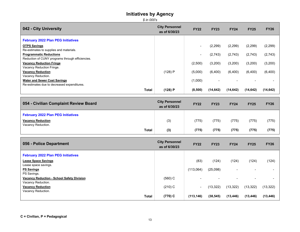| 042 - City University                                                     | <b>City Personnel</b><br>as of 6/30/23 | <b>FY22</b>    | <b>FY23</b> | <b>FY24</b> | <b>FY25</b> | <b>FY26</b> |
|---------------------------------------------------------------------------|----------------------------------------|----------------|-------------|-------------|-------------|-------------|
| <b>February 2022 Plan PEG Initiatives</b>                                 |                                        |                |             |             |             |             |
| <b>OTPS Savings</b>                                                       |                                        |                | (2, 299)    | (2, 299)    | (2,299)     | (2, 299)    |
| Re-estimates to supplies and materials.<br><b>Programmatic Reductions</b> |                                        | $\blacksquare$ | (2,743)     | (2,743)     | (2,743)     | (2,743)     |
| Reduction of CUNY programs through efficiencies.                          |                                        |                |             |             |             |             |
| <b>Vacancy Reduction Fringe</b><br>Vacancy Reduction Fringe.              |                                        | (2,500)        | (3,200)     | (3,200)     | (3,200)     | (3,200)     |
| <b>Vacancy Reduction</b>                                                  | (128)P                                 | (5,000)        | (6,400)     | (6,400)     | (6,400)     | (6,400)     |
| Vacancy Reduction.<br><b>Water and Sewer Cost Savings</b>                 |                                        | (1,000)        |             |             |             |             |
| Re-estimates due to decreased expenditures.                               |                                        |                |             |             |             |             |
| <b>Total</b>                                                              | (128)P                                 | (8,500)        | (14, 642)   | (14, 642)   | (14, 642)   | (14, 642)   |
| 054 - Civilian Complaint Review Board                                     | <b>City Personnel</b><br>as of 6/30/23 | <b>FY22</b>    | <b>FY23</b> | <b>FY24</b> | <b>FY25</b> | <b>FY26</b> |
| <b>February 2022 Plan PEG Initiatives</b>                                 |                                        |                |             |             |             |             |
| <b>Vacancy Reduction</b>                                                  | (3)                                    | (775)          | (775)       | (775)       | (775)       | (775)       |
| Vacancy Reduction.<br><b>Total</b>                                        |                                        | (775)          | (775)       | (775)       | (775)       | (775)       |
|                                                                           | (3)                                    |                |             |             |             |             |
| 056 - Police Department                                                   | <b>City Personnel</b><br>as of 6/30/23 | <b>FY22</b>    | <b>FY23</b> | <b>FY24</b> | <b>FY25</b> | <b>FY26</b> |
| <b>February 2022 Plan PEG Initiatives</b>                                 |                                        |                |             |             |             |             |
| <b>Lease Space Savings</b>                                                |                                        | (83)           | (124)       | (124)       | (124)       | (124)       |
| Lease space savings.<br><b>PS Savings</b>                                 |                                        | (113,064)      | (25,098)    |             |             |             |
| PS Savings.                                                               |                                        |                |             |             |             |             |
| <b>Vacancy Reduction - School Safety Division</b><br>Vacancy Reduction.   | (560) C                                |                |             |             |             |             |
| <b>Vacancy Reduction</b><br>Vacancy Reduction.                            | (210) C                                | $\blacksquare$ | (13, 322)   | (13, 322)   | (13, 322)   | (13, 322)   |
| <b>Total</b>                                                              | $(770)$ C                              | (113, 146)     | (38, 545)   | (13, 446)   | (13, 446)   | (13, 446)   |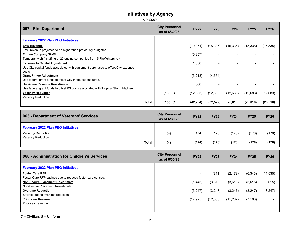*\$ in 000's*

| 057 - Fire Department                                                                | <b>City Personnel</b><br>as of 6/30/23 | <b>FY22</b> | <b>FY23</b> | <b>FY24</b> | <b>FY25</b> | <b>FY26</b> |
|--------------------------------------------------------------------------------------|----------------------------------------|-------------|-------------|-------------|-------------|-------------|
| <b>February 2022 Plan PEG Initiatives</b>                                            |                                        |             |             |             |             |             |
| <b>EMS Revenue</b>                                                                   |                                        | (19,271)    | (15, 335)   | (15, 335)   | (15, 335)   | (15, 335)   |
| EMS revenue projected to be higher than previously budgeted.                         |                                        |             |             |             |             |             |
| <b>Engine Company Staffing</b>                                                       |                                        | (5, 357)    |             |             |             |             |
| Temporarily shift staffing at 20 engine companies from 5 Firefighters to 4.          |                                        |             |             |             |             |             |
| <b>Expense to Capital Adjustment</b>                                                 |                                        | (1,850)     |             |             |             |             |
| Use City capital funds associated with equipment purchases to offset City expense    |                                        |             |             |             |             |             |
| costs.                                                                               |                                        |             |             |             |             |             |
| <b>Grant Fringe Adjustment</b>                                                       |                                        | (3,213)     | (4, 554)    |             |             |             |
| Use federal grant funds to offset City fringe expenditures.                          |                                        |             |             |             |             |             |
| <b>Hurricane Revenue Re-estimate</b>                                                 |                                        | (360)       |             |             |             |             |
| Use federal grant funds to offset PS costs associated with Tropical Storm Ida/Henri. |                                        |             |             |             |             |             |
| <b>Vacancy Reduction</b>                                                             | (155) C                                | (12,683)    | (12,683)    | (12,683)    | (12,683)    | (12,683)    |
| Vacancy Reduction.                                                                   |                                        |             |             |             |             |             |
| Total                                                                                | $(155)$ C                              | (42, 734)   | (32, 572)   | (28,018)    | (28,018)    | (28,018)    |

| 063 - Department of Veterans' Services                                | <b>City Personnel</b><br>as of 6/30/23 | <b>FY22</b> | <b>FY23</b> | <b>FY24</b> | <b>FY25</b> | <b>FY26</b> |
|-----------------------------------------------------------------------|----------------------------------------|-------------|-------------|-------------|-------------|-------------|
| <b>February 2022 Plan PEG Initiatives</b><br><b>Vacancy Reduction</b> | (4)                                    | (174)       | (178)       | (178)       | (178)       | (178)       |
| Vacancy Reduction.<br><b>Total</b>                                    | (4)                                    | (174)       | (178)       | (178)       | (178)       | (178)       |

| 068 - Administration for Children's Services               | <b>City Personnel</b><br>as of 6/30/23 | <b>FY22</b> | <b>FY23</b> | <b>FY24</b> | <b>FY25</b> | <b>FY26</b> |
|------------------------------------------------------------|----------------------------------------|-------------|-------------|-------------|-------------|-------------|
| <b>February 2022 Plan PEG Initiatives</b>                  |                                        |             |             |             |             |             |
| <b>Foster Care RFP</b>                                     |                                        |             | (811)       | (2, 179)    | (6, 343)    | (14, 535)   |
| Foster Care RFP savings due to reduced foster care census. |                                        |             |             |             |             |             |
| <b>Non-Secure Placement Re-estimate</b>                    |                                        | (1, 443)    | (3,615)     | (3,615)     | (3,615)     | (3,615)     |
| Non-Secure Placement Re-estimate.                          |                                        |             |             |             |             |             |
| <b>Overtime Reduction</b>                                  |                                        | (3,247)     | (3,247)     | (3,247)     | (3,247)     | (3, 247)    |
| Savings due to overtime reduction.                         |                                        |             |             |             |             |             |
| <b>Prior Year Revenue</b>                                  |                                        | (17, 925)   | (12, 635)   | (11, 267)   | (7, 103)    |             |
| Prior year revenue.                                        |                                        |             |             |             |             |             |
|                                                            |                                        |             |             |             |             |             |
|                                                            |                                        |             |             |             |             |             |

**C = Civilian, U = Uniform**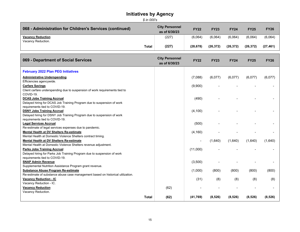| \$ in 000's                                              |              |                                        |                      |                      |                      |                      |                      |  |
|----------------------------------------------------------|--------------|----------------------------------------|----------------------|----------------------|----------------------|----------------------|----------------------|--|
| 068 - Administration for Children's Services (continued) |              | <b>City Personnel</b><br>as of 6/30/23 | <b>FY22</b>          | <b>FY23</b>          | <b>FY24</b>          | <b>FY25</b>          | <b>FY26</b>          |  |
| <b>Vacancy Reduction</b><br>Vacancy Reduction.           | <b>Total</b> | (227)<br>(227)                         | (6,064)<br>(28, 678) | (6,064)<br>(26, 372) | (6,064)<br>(26, 372) | (6,064)<br>(26, 372) | (6.064)<br>(27, 461) |  |
|                                                          |              |                                        |                      |                      |                      |                      |                      |  |

| 069 - Department of Social Services                                             | <b>City Personnel</b><br>as of 6/30/23 | <b>FY22</b> | <b>FY23</b> | <b>FY24</b> | <b>FY25</b> | <b>FY26</b> |
|---------------------------------------------------------------------------------|----------------------------------------|-------------|-------------|-------------|-------------|-------------|
| <b>February 2022 Plan PEG Initiatives</b>                                       |                                        |             |             |             |             |             |
| <b>Administrative Underspending</b>                                             |                                        | (7,088)     | (6,077)     | (6,077)     | (6,077)     | (6,077)     |
| Efficiencies agencywide.                                                        |                                        |             |             |             |             |             |
| <b>Carfare Savings</b>                                                          |                                        | (9,900)     |             |             |             |             |
| Client carfare underspending due to suspension of work requirements tied to     |                                        |             |             |             |             |             |
| COVID-19.                                                                       |                                        |             |             |             |             |             |
| <b>DCAS Jobs Training Accrual</b>                                               |                                        | (490)       |             |             |             |             |
| Delayed hiring for DCAS Job Training Program due to suspension of work          |                                        |             |             |             |             |             |
| requirements tied to COVID-19.                                                  |                                        |             |             |             |             |             |
| <b>DSNY Jobs Training Accrual</b>                                               |                                        | (4, 100)    |             |             |             |             |
| Delayed hiring for DSNY Job Training Program due to suspension of work          |                                        |             |             |             |             |             |
| requirements tied to COVID-19.                                                  |                                        |             |             |             |             |             |
| <b>Legal Services Accrual</b>                                                   |                                        | (500)       |             |             |             |             |
| Re-estimate of legal services expenses due to pandemic.                         |                                        |             |             |             |             |             |
| Mental Health at DV Shelters Re-estimate                                        |                                        | (4, 160)    |             |             |             |             |
| Mental Health at Domestic Violence Shelters contract timing.                    |                                        |             |             |             |             |             |
| <b>Mental Health at DV Shelters Re-estimate</b>                                 |                                        |             | (1,640)     | (1,640)     | (1,640)     | (1,640)     |
| Mental Health at Domestic Violence Shelters revenue adjustment.                 |                                        |             |             |             |             |             |
| <b>Parks Jobs Training Accrual</b>                                              |                                        | (11,000)    |             |             |             |             |
| Delayed hiring for Parks Job Training Program due to suspension of work         |                                        |             |             |             |             |             |
| requirements tied to COVID-19.                                                  |                                        |             |             |             |             |             |
| <b>SNAP Admin Revenue</b>                                                       |                                        | (3,500)     |             |             |             |             |
| Supplemental Nutrition Assistance Program grant revenue.                        |                                        |             |             |             |             |             |
| <b>Substance Abuse Program Re-estimate</b>                                      |                                        | (1,000)     | (800)       | (800)       | (800)       | (800)       |
| Re-estimate of substance abuse case management based on historical utilization. |                                        |             |             |             |             |             |
| <b>Vacancy Reduction - IC</b>                                                   |                                        | (31)        | (8)         | (8)         | (8)         | (8)         |
| Vacancy Reduction - IC.                                                         |                                        |             |             |             |             |             |
| <b>Vacancy Reduction</b>                                                        | (62)                                   |             |             |             |             |             |
| Vacancy Reduction.                                                              |                                        |             |             |             |             |             |
| <b>Total</b>                                                                    | (62)                                   | (41,769)    | (8,526)     | (8,526)     | (8,526)     | (8,526)     |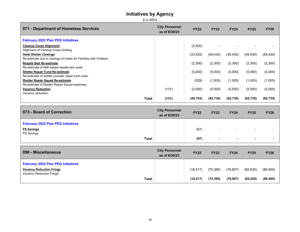*\$ in 000's*

| 071 - Department of Homeless Services                                                         | <b>City Personnel</b><br>as of 6/30/23 | <b>FY22</b> | <b>FY23</b> | <b>FY24</b> | <b>FY25</b> | <b>FY26</b> |
|-----------------------------------------------------------------------------------------------|----------------------------------------|-------------|-------------|-------------|-------------|-------------|
| <b>February 2022 Plan PEG Initiatives</b>                                                     |                                        |             |             |             |             |             |
| <b>Cleanup Corps Alignment</b>                                                                |                                        | (2,500)     |             |             |             |             |
| Alignment of Cleanup Corps funding.<br><b>Hotel Shelter Closings</b>                          |                                        | (33, 425)   | (49, 430)   | (49, 430)   | (49, 430)   | (49, 430)   |
| Re-estimate due to closings of hotels for Families with Children.                             |                                        |             |             |             |             |             |
| <b>Respite Bed Re-estimate</b><br>Re-estimate of faith-based respite bed costs.               |                                        | (2,300)     | (2,300)     | (2,300)     | (2,300)     | (2,300)     |
| <b>Shelter Repair Fund Re-estimate</b>                                                        |                                        | (5,000)     | (5,000)     | (5,000)     | (5,000)     | (5,000)     |
| Re-estimate of shelter provider repair fund costs.<br><b>Shelter Repair Squad Re-estimate</b> |                                        | (528)       | (1,005)     | (1,005)     | (1,005)     | (1,005)     |
| Re-estimate of Shelter Repair Squad expenses.<br><b>Vacancy Reduction</b>                     | (131)                                  |             | (5,000)     |             | (5,000)     | (5,000)     |
| Vacancy reduction.                                                                            |                                        | (2,000)     |             | (5,000)     |             |             |
| <b>Total</b>                                                                                  | (131)                                  | (45, 753)   | (62, 735)   | (62, 735)   | (62, 735)   | (62, 735)   |
|                                                                                               |                                        |             |             |             |             |             |
| 073 - Board of Correction                                                                     | <b>City Personnel</b><br>as of 6/30/23 | <b>FY22</b> | <b>FY23</b> | <b>FY24</b> | <b>FY25</b> | <b>FY26</b> |
| <b>February 2022 Plan PEG Initiatives</b>                                                     |                                        |             |             |             |             |             |
| <b>PS Savings</b><br>PS Savings.                                                              |                                        | (97)        |             |             |             |             |

| <b>Total</b>                                                 |                                        | (97)        | ۰           | $\sim$      | $\sim$      |             |
|--------------------------------------------------------------|----------------------------------------|-------------|-------------|-------------|-------------|-------------|
| 098 - Miscellaneous                                          | <b>City Personnel</b><br>as of 6/30/23 | <b>FY22</b> | <b>FY23</b> | <b>FY24</b> | <b>FY25</b> | <b>FY26</b> |
| <b>February 2022 Plan PEG Initiatives</b>                    |                                        |             |             |             |             |             |
| <b>Vacancy Reduction Fringe</b><br>Vacancy Reduction Fringe. |                                        | (18, 517)   | (75, 385)   | (78, 807)   | (82, 630)   | (86, 505)   |

 **Total (18,517) (75,385) (78,807) (82,630) (86,505)**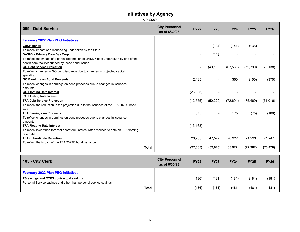*\$ in 000's*

| 099 - Debt Service                                                                        | <b>City Personnel</b><br>as of 6/30/23 | <b>FY22</b> | <b>FY23</b>    | <b>FY24</b> | <b>FY25</b> | <b>FY26</b> |
|-------------------------------------------------------------------------------------------|----------------------------------------|-------------|----------------|-------------|-------------|-------------|
| <b>February 2022 Plan PEG Initiatives</b>                                                 |                                        |             |                |             |             |             |
| <b>CUCF Rental</b>                                                                        |                                        |             | (124)          | (144)       | (136)       |             |
| To reflect impact of a refinancing undertaken by the State.                               |                                        |             |                |             |             |             |
| <b>DASNY - Primary Care Dev Corp</b>                                                      |                                        |             | (143)          |             |             |             |
| To reflect the impact of a partial redemption of DASNY debt undertaken by one of the      |                                        |             |                |             |             |             |
| health care facilities funded by these bond issues.                                       |                                        |             |                |             |             |             |
| <b>GO Debt Service Projection</b>                                                         |                                        |             | (49, 130)      | (67, 588)   | (72, 790)   | (70, 138)   |
| To reflect changes in GO bond issuance due to changes in projected capital                |                                        |             |                |             |             |             |
| spending.                                                                                 |                                        |             |                |             |             |             |
| <b>GO Earnings on Bond Proceeds</b>                                                       |                                        | 2.125       | $\blacksquare$ | 350         | (150)       | (375)       |
| To reflect changes in earnings on bond proceeds due to changes in issuance                |                                        |             |                |             |             |             |
| amounts.                                                                                  |                                        |             |                |             |             |             |
| <b>GO Floating Rate Interest</b>                                                          |                                        | (26, 853)   |                |             |             |             |
| GO Floating Rate Interest.                                                                |                                        |             |                |             |             |             |
| <b>TFA Debt Service Projection</b>                                                        |                                        | (12, 555)   | (50, 220)      | (72, 691)   | (75, 469)   | (71, 016)   |
| To reflect the reduction in the projection due to the issuance of the TFA 2022C bond      |                                        |             |                |             |             |             |
| sale.                                                                                     |                                        |             |                |             |             |             |
| <b>TFA Earnings on Proceeds</b>                                                           |                                        | (375)       |                | 175         | (75)        | (188)       |
| To reflect changes in earnings on bond proceeds due to changes in issuance                |                                        |             |                |             |             |             |
| amounts.                                                                                  |                                        |             |                |             |             |             |
| <b>TFA Floating Rate Interest</b>                                                         |                                        | (13, 163)   |                |             |             |             |
| To reflect lower than forecast short term interest rates realized to date on TFA floating |                                        |             |                |             |             |             |
| rate debt.                                                                                |                                        |             |                |             |             |             |
| <b>TFA Subordinate Retention</b>                                                          |                                        | 23,786      | 47,572         | 70,922      | 71,233      | 71,247      |
| To reflect the impact of the TFA 2022C bond issuance.                                     |                                        |             |                |             |             |             |
| <b>Total</b>                                                                              |                                        | (27, 035)   | (52, 045)      | (68, 977)   | (77, 387)   | (70, 470)   |

| 103 - City Clerk                                                                                                                                          | <b>City Personnel</b><br>as of 6/30/23 | <b>FY22</b> | <b>FY23</b> | <b>FY24</b> | <b>FY25</b> | <b>FY26</b> |
|-----------------------------------------------------------------------------------------------------------------------------------------------------------|----------------------------------------|-------------|-------------|-------------|-------------|-------------|
| <b>February 2022 Plan PEG Initiatives</b><br>PS savings and OTPS contractual savings<br>Personal Service savings and other than personal service savings. |                                        | (186)       | (181)       | (181)       | (181)       | (181)       |
| <b>Total</b>                                                                                                                                              |                                        | (186)       | (181)       | (181)       | (181)       | (181)       |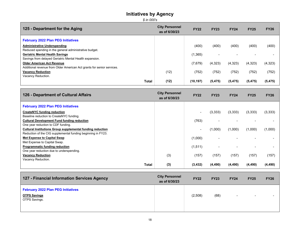*\$ in 000's*

| 125 - Department for the Aging                                                                     | <b>City Personnel</b><br>as of 6/30/23 | <b>FY22</b> | <b>FY23</b> | <b>FY24</b> | <b>FY25</b> | <b>FY26</b> |
|----------------------------------------------------------------------------------------------------|----------------------------------------|-------------|-------------|-------------|-------------|-------------|
| <b>February 2022 Plan PEG Initiatives</b>                                                          |                                        |             |             |             |             |             |
| <b>Administrative Underspending</b>                                                                |                                        | (400)       | (400)       | (400)       | (400)       | (400)       |
| Reduced spending in the general administrative budget.<br><b>Geriatric Mental Health Savings</b>   |                                        | (1,365)     |             |             |             |             |
| Savings from delayed Geriatric Mental Health expansion.                                            |                                        |             |             |             |             |             |
| <b>Older American Act Revenue</b>                                                                  |                                        | (7,679)     | (4,323)     | (4,323)     | (4,323)     | (4, 323)    |
| Additional revenue from Older American Act grants for senior services.<br><b>Vacancy Reduction</b> | (12)                                   | (752)       | (752)       | (752)       | (752)       | (752)       |
| Vacancy Reduction.                                                                                 |                                        |             |             |             |             |             |
| Total                                                                                              | (12)                                   | (10, 197)   | (5, 475)    | (5, 475)    | (5, 475)    | (5, 475)    |

| 126 - Department of Cultural Affairs                         | <b>City Personnel</b><br>as of 6/30/23 | <b>FY22</b> | <b>FY23</b> | <b>FY24</b> | <b>FY25</b> | <b>FY26</b> |
|--------------------------------------------------------------|----------------------------------------|-------------|-------------|-------------|-------------|-------------|
| <b>February 2022 Plan PEG Initiatives</b>                    |                                        |             |             |             |             |             |
| <b>CreateNYC funding reduction</b>                           |                                        |             | (3,333)     | (3,333)     | (3,333)     | (3,333)     |
| Baseline reduction to CreateNYC funding.                     |                                        |             |             |             |             |             |
| <b>Cultural Development Fund funding reduction</b>           |                                        | (763)       |             |             |             |             |
| One year reduction to CDF funding.                           |                                        |             |             |             |             |             |
| Cultural Institutions Group supplemental funding reduction   |                                        |             | (1,000)     | (1,000)     | (1,000)     | (1,000)     |
| Reduction of the CIG supplemental funding beginning in FY23. |                                        |             |             |             |             |             |
| <b>Met Expense to Capital Swap</b>                           |                                        | (1,000)     |             |             |             |             |
| Met Expense to Capital Swap.                                 |                                        |             |             |             |             |             |
| Programmatic funding reduction                               |                                        | (1,511)     |             |             |             |             |
| One year reduction due to underspending.                     |                                        |             |             |             |             |             |
| <b>Vacancy Reduction</b>                                     | (3)                                    | (157)       | (157)       | (157)       | (157)       | (157)       |
| Vacancy Reduction.                                           |                                        |             |             |             |             |             |
| Total                                                        | (3)                                    | (3, 432)    | (4, 490)    | (4, 490)    | (4, 490)    | (4, 490)    |

| 127 - Financial Information Services Agency                                       | <b>City Personnel</b><br>as of 6/30/23 | <b>FY22</b> | <b>FY23</b> | <b>FY24</b> | <b>FY25</b> | <b>FY26</b> |
|-----------------------------------------------------------------------------------|----------------------------------------|-------------|-------------|-------------|-------------|-------------|
| <b>February 2022 Plan PEG Initiatives</b><br><b>OTPS Savings</b><br>OTPS Savings. |                                        | (2,508)     | (68)        | $\sim$      | $\sim$      |             |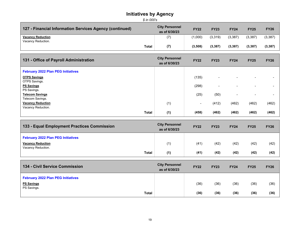#### **Initiatives by Agency** *\$ in 000's*

| 127 - Financial Information Services Agency (continued) | <b>City Personnel</b><br>as of 6/30/23 | <b>FY22</b> | <b>FY23</b> | <b>FY24</b> | <b>FY25</b> | <b>FY26</b> |  |  |
|---------------------------------------------------------|----------------------------------------|-------------|-------------|-------------|-------------|-------------|--|--|
| <b>Vacancy Reduction</b>                                | $\left( 7\right)$                      | (1.000)     | (3,319)     | (3,387)     | (3,387)     | (3, 387)    |  |  |
| Vacancy Reduction.                                      |                                        |             |             |             |             |             |  |  |
| <b>Total</b>                                            | (7)                                    | (3,508)     | (3, 387)    | (3,387)     | (3, 387)    | (3, 387)    |  |  |

| 131 - Office of Payroll Administration    | <b>City Personnel</b><br>as of 6/30/23 | <b>FY22</b> | <b>FY23</b>              | <b>FY24</b>              | <b>FY25</b>              | <b>FY26</b> |
|-------------------------------------------|----------------------------------------|-------------|--------------------------|--------------------------|--------------------------|-------------|
| <b>February 2022 Plan PEG Initiatives</b> |                                        |             |                          |                          |                          |             |
| <b>OTPS Savings</b>                       |                                        | (135)       | $\overline{\phantom{a}}$ | $\overline{\phantom{a}}$ | $\overline{\phantom{0}}$ | -           |
| OTPS Savings.                             |                                        |             |                          |                          |                          |             |
| <b>PS Savings</b>                         |                                        | (298)       | -                        | $\overline{\phantom{0}}$ |                          | -           |
| PS Savings.                               |                                        |             |                          |                          |                          |             |
| <b>Telecom Savings</b>                    |                                        | (25)        | (50)                     | -                        | $\overline{\phantom{0}}$ |             |
| Telecom Savings.                          |                                        |             |                          |                          |                          |             |
| <b>Vacancy Reduction</b>                  | (1)                                    | -           | (412)                    | (462)                    | (462)                    | (462)       |
| Vacancy Reduction.                        |                                        |             |                          |                          |                          |             |
| <b>Total</b>                              | (1)                                    | (458)       | (462)                    | (462)                    | (462)                    | (462)       |

| 133 - Equal Employment Practices Commission                                                 | <b>City Personnel</b><br>as of 6/30/23 | <b>FY22</b> | <b>FY23</b> | <b>FY24</b> | <b>FY25</b> | <b>FY26</b> |
|---------------------------------------------------------------------------------------------|----------------------------------------|-------------|-------------|-------------|-------------|-------------|
| <b>February 2022 Plan PEG Initiatives</b><br><b>Vacancy Reduction</b><br>Vacancy Reduction. | (1)                                    | (41)        | (42)        | (42)        | (42)        | (42)        |
| <b>Total</b>                                                                                | (1)                                    | (41)        | (42)        | (42)        | (42)        | (42)        |

| 134 - Civil Service Commission            | <b>City Personnel</b><br>as of 6/30/23 | <b>FY22</b> | <b>FY23</b> | <b>FY24</b> | <b>FY25</b> | <b>FY26</b> |
|-------------------------------------------|----------------------------------------|-------------|-------------|-------------|-------------|-------------|
| <b>February 2022 Plan PEG Initiatives</b> |                                        |             |             |             |             |             |
| <b>PS Savings</b>                         |                                        | (36)        | (36)        | (36)        | (36)        | (36)        |
| PS Savings.<br><b>Total</b>               |                                        | (36)        | (36)        | (36)        | (36)        | (36)        |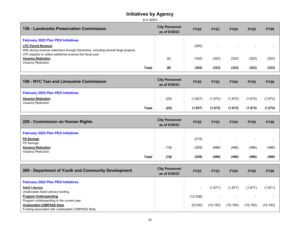| 136 - Landmarks Preservation Commission                                                                          | <b>City Personnel</b><br>as of 6/30/23 | <b>FY22</b> | <b>FY23</b> | <b>FY24</b>              | <b>FY25</b>              | <b>FY26</b> |
|------------------------------------------------------------------------------------------------------------------|----------------------------------------|-------------|-------------|--------------------------|--------------------------|-------------|
| <b>February 2022 Plan PEG Initiatives</b>                                                                        |                                        |             |             |                          |                          |             |
| <b>LPC Permit Revenue</b><br>With strong revenue collections through December, including several large projects, |                                        | (200)       |             | $\overline{\phantom{0}}$ | $\overline{\phantom{0}}$ |             |
| LPC expects to collect additional revenue this fiscal year.                                                      |                                        |             |             |                          |                          |             |
| <b>Vacancy Reduction</b><br>Vacancy Reduction.                                                                   | (6)                                    | (162)       | (323)       | (323)                    | (323)                    | (323)       |
| Total                                                                                                            | (6)                                    | (362)       | (323)       | (323)                    | (323)                    | (323)       |

| 156 - NYC Taxi and Limousine Commission                                                     | <b>City Personnel</b><br>as of 6/30/23 | <b>FY22</b> | <b>FY23</b> | <b>FY24</b> | <b>FY25</b> | <b>FY26</b> |
|---------------------------------------------------------------------------------------------|----------------------------------------|-------------|-------------|-------------|-------------|-------------|
| <b>February 2022 Plan PEG Initiatives</b><br><b>Vacancy Reduction</b><br>Vacancy Reduction. | (25)                                   | (1,627)     | (1,672)     | (1,672)     | (1,672)     | (1,672)     |
| <b>Total</b>                                                                                | (25)                                   | (1,627)     | (1,672)     | (1,672)     | (1,672)     | (1,672)     |

| 226 - Commission on Human Rights               | <b>City Personnel</b><br>as of 6/30/23 | <b>FY22</b> | <b>FY23</b>              | <b>FY24</b>              | <b>FY25</b>              | <b>FY26</b> |
|------------------------------------------------|----------------------------------------|-------------|--------------------------|--------------------------|--------------------------|-------------|
| <b>February 2022 Plan PEG Initiatives</b>      |                                        |             |                          |                          |                          |             |
| <b>PS Savings</b><br>PS Savings.               |                                        | (219)       | $\overline{\phantom{0}}$ | $\overline{\phantom{0}}$ | $\overline{\phantom{0}}$ |             |
| <b>Vacancy Reduction</b><br>Vacancy Reduction. | (18)                                   | (209)       | (486)                    | (486)                    | (486)                    | (486)       |
| <b>Total</b>                                   | (18)                                   | (428)       | (486)                    | (486)                    | (486)                    | (486)       |

| 260 - Department of Youth and Community Development                                    | <b>City Personnel</b><br>as of 6/30/23 | <b>FY22</b> | <b>FY23</b> | <b>FY24</b>              | <b>FY25</b> | <b>FY26</b> |
|----------------------------------------------------------------------------------------|----------------------------------------|-------------|-------------|--------------------------|-------------|-------------|
| <b>February 2022 Plan PEG Initiatives</b>                                              |                                        |             |             |                          |             |             |
| <b>Adult Literacy</b>                                                                  |                                        | $\sim$      | (1.671)     | (1,671)                  | (1,671)     | (1,671)     |
| Unallocated Adult Literacy funding.<br><b>Program Underspending</b>                    |                                        | (12, 536)   |             | $\overline{\phantom{a}}$ |             |             |
| Program underspending in the current year.                                             |                                        |             |             |                          |             |             |
| <b>Unallocated COMPASS Slots</b><br>Funding associated with unallocated COMPASS Slots. |                                        | (9,330)     | (15, 193)   | (15, 193)                | (15, 193)   | (15, 193)   |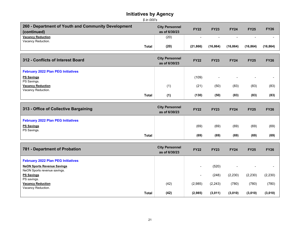| \$ in 000's                                                        |                                        |                |                |             |                |             |  |  |
|--------------------------------------------------------------------|----------------------------------------|----------------|----------------|-------------|----------------|-------------|--|--|
| 260 - Department of Youth and Community Development<br>(continued) | <b>City Personnel</b><br>as of 6/30/23 | <b>FY22</b>    | <b>FY23</b>    | <b>FY24</b> | <b>FY25</b>    | <b>FY26</b> |  |  |
| <b>Vacancy Reduction</b><br>Vacancy Reduction.                     | (20)                                   | ÷              | $\overline{a}$ |             |                |             |  |  |
| <b>Total</b>                                                       | (20)                                   | (21, 866)      | (16, 864)      | (16, 864)   | (16, 864)      | (16, 864)   |  |  |
| 312 - Conflicts of Interest Board                                  | <b>City Personnel</b><br>as of 6/30/23 | <b>FY22</b>    | <b>FY23</b>    | <b>FY24</b> | <b>FY25</b>    | <b>FY26</b> |  |  |
| <b>February 2022 Plan PEG Initiatives</b>                          |                                        |                |                |             |                |             |  |  |
| <b>PS Savings</b><br>PS Savings.                                   |                                        | (109)          | $\blacksquare$ |             | $\blacksquare$ |             |  |  |
| <b>Vacancy Reduction</b><br>Vacancy Reduction.                     | (1)                                    | (21)           | (50)           | (83)        | (83)           | (83)        |  |  |
| <b>Total</b>                                                       | (1)                                    | (130)          | (50)           | (83)        | (83)           | (83)        |  |  |
| 313 - Office of Collective Bargaining                              | <b>City Personnel</b><br>as of 6/30/23 | <b>FY22</b>    | <b>FY23</b>    | <b>FY24</b> | <b>FY25</b>    | <b>FY26</b> |  |  |
| <b>February 2022 Plan PEG Initiatives</b>                          |                                        |                |                |             |                |             |  |  |
| <b>PS Savings</b><br>PS Savings.                                   |                                        | (69)           | (69)           | (69)        | (69)           | (69)        |  |  |
| <b>Total</b>                                                       |                                        | (69)           | (69)           | (69)        | (69)           | (69)        |  |  |
| 781 - Department of Probation                                      | <b>City Personnel</b><br>as of 6/30/23 | <b>FY22</b>    | <b>FY23</b>    | <b>FY24</b> | <b>FY25</b>    | <b>FY26</b> |  |  |
| <b>February 2022 Plan PEG Initiatives</b>                          |                                        |                |                |             |                |             |  |  |
| <b>NeON Sports Revenue Savings</b><br>NeON Sports revenue savings. |                                        |                | (520)          |             |                |             |  |  |
| <b>PS Savings</b>                                                  |                                        | $\blacksquare$ | (248)          | (2, 230)    | (2, 230)       | (2, 230)    |  |  |
| PS savings.<br><b>Vacancy Reduction</b><br>Vacancy Reduction.      | (42)                                   | (2,985)        | (2, 243)       | (780)       | (780)          | (780)       |  |  |
| <b>Total</b>                                                       | (42)                                   | (2,985)        | (3,011)        | (3,010)     | (3,010)        | (3,010)     |  |  |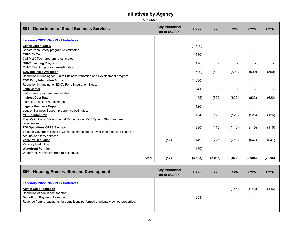*\$ in 000's*

| 801 - Department of Small Business Services                                        | <b>City Personnel</b><br>as of 6/30/23 | <b>FY22</b> | <b>FY23</b> | <b>FY24</b> | <b>FY25</b> | <b>FY26</b> |
|------------------------------------------------------------------------------------|----------------------------------------|-------------|-------------|-------------|-------------|-------------|
| <b>February 2022 Plan PEG Initiatives</b>                                          |                                        |             |             |             |             |             |
| <b>Construction Safety</b>                                                         |                                        | (1,500)     |             |             |             |             |
| Construction Safety program re-estimates.                                          |                                        |             |             |             |             |             |
| <b>CUNY 2x Tech</b>                                                                |                                        | (140)       |             |             |             |             |
| CUNY 2X Tech program re-estimates.                                                 |                                        |             |             |             |             |             |
| <b>CUNY Training Program</b>                                                       |                                        | (128)       |             |             |             |             |
| CUNY Training program re-estimates.                                                |                                        |             |             |             |             |             |
| <b>EDC Business Attraction</b>                                                     |                                        | (500)       | (500)       | (500)       | (500)       | (500)       |
| Reduction in funding for EDC's Business Attraction and Development program.        |                                        |             |             |             |             |             |
| <b>EDC Ferry Integration Study</b>                                                 |                                        | (1,000)     |             |             |             |             |
| Reduction in funding for EDC's Ferry Integration Study.                            |                                        |             |             |             |             |             |
| <b>Faith Center</b>                                                                |                                        | (41)        |             |             |             |             |
| Faith Center program re-estimates.                                                 |                                        |             |             |             |             |             |
| <b>Indirect Cost Rate</b>                                                          |                                        | (495)       | (622)       | (622)       | (622)       | (622)       |
| Indirect Cost Rate re-estimates.                                                   |                                        |             |             |             |             |             |
| <b>Legacy Business Support</b>                                                     |                                        | (126)       |             |             |             |             |
| Legacy Business Support program re-estimates.                                      |                                        |             |             |             |             |             |
| <b>MOER JumpStart</b>                                                              |                                        | (124)       | (126)       | (126)       | (126)       | (126)       |
| Mayor's Office of Environmental Remediation (MOER) JumpStart program               |                                        |             |             |             |             |             |
| re-estimates.                                                                      |                                        |             |             |             |             |             |
| <b>TGI Operations OTPS Savings</b>                                                 |                                        | (230)       | (110)       | (110)       | (110)       | (110)       |
| Trust for Governors Island (TGI) re-estimates due to lower than expected costs for |                                        |             |             |             |             |             |
| security and ferry services.<br><b>Vacancy Reduction</b>                           | (17)                                   | (149)       | (727)       | (713)       | (647)       | (647)       |
| Vacancy Reduction.                                                                 |                                        |             |             |             |             |             |
| <b>Waterfront Permits</b>                                                          |                                        | (150)       |             |             |             |             |
| Waterfront Permits program re-estimates.                                           |                                        |             |             |             |             |             |
|                                                                                    |                                        |             |             |             |             |             |
| <b>Total</b>                                                                       | (17)                                   | (4, 583)    | (2,085)     | (2,071)     | (2,005)     | (2,005)     |

| 806 - Housing Preservation and Development                                                                                                                                                                                               | <b>City Personnel</b><br>as of 6/30/23 | <b>FY22</b> | <b>FY23</b>                        | <b>FY24</b>                       | <b>FY25</b> | <b>FY26</b> |
|------------------------------------------------------------------------------------------------------------------------------------------------------------------------------------------------------------------------------------------|----------------------------------------|-------------|------------------------------------|-----------------------------------|-------------|-------------|
| <b>February 2022 Plan PEG Initiatives</b><br><b>Admin Cost Reduction</b><br>Reduction of admin cost for staff.<br><b>Demolition Payment Revenue</b><br>Revenue from re-payments for demolitions performed at privately owned properties. |                                        | (853)       | $\sim$<br>$\overline{\phantom{a}}$ | (146)<br>$\overline{\phantom{0}}$ | (146)       | (146)       |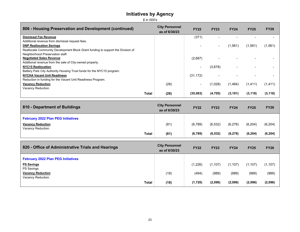*\$ in 000's*

| 806 - Housing Preservation and Development (continued)                          | <b>City Personnel</b><br>as of 6/30/23 | <b>FY22</b> | <b>FY23</b> | <b>FY24</b> | <b>FY25</b> | <b>FY26</b> |
|---------------------------------------------------------------------------------|----------------------------------------|-------------|-------------|-------------|-------------|-------------|
| <b>Dismissal Fee Revenue</b>                                                    |                                        | (371)       |             |             |             |             |
| Additional revenue from dismissal request fees.                                 |                                        |             |             |             |             |             |
| <b>DNP Reallocation Savings</b>                                                 |                                        |             | $\sim$      | (1,561)     | (1,561)     | (1,561)     |
| Reallocate Community Development Block Grant funding to support the Division of |                                        |             |             |             |             |             |
| Neighborhood Preservation staff.                                                |                                        |             |             |             |             |             |
| <b>Negotiated Sales Revenue</b>                                                 |                                        | (2,687)     |             |             |             |             |
| Additional revenue from the sale of City-owned property.                        |                                        |             |             |             |             |             |
| <b>NYC15 Reallocation</b>                                                       |                                        |             | (3,678)     |             |             |             |
| Battery Park City Authority Housing Trust funds for the NYC15 program.          |                                        |             |             |             |             |             |
| <b>NYCHA Vacant Unit Readiness</b>                                              |                                        | (31, 172)   |             |             |             |             |
| Reduction in funding for the Vacant Unit Readiness Program.                     |                                        |             |             |             |             |             |
| <b>Vacancy Reduction</b>                                                        | (28)                                   |             | (1,028)     | (1,484)     | (1, 411)    | (1, 411)    |
| Vacancy Reduction.                                                              |                                        |             |             |             |             |             |
| Total                                                                           | (28)                                   | (35,083)    | (4,705)     | (3, 191)    | (3, 118)    | (3, 118)    |

| 810 - Department of Buildings                                         | <b>City Personnel</b><br>as of 6/30/23 | <b>FY22</b> | <b>FY23</b> | <b>FY24</b> | <b>FY25</b> | <b>FY26</b> |
|-----------------------------------------------------------------------|----------------------------------------|-------------|-------------|-------------|-------------|-------------|
| <b>February 2022 Plan PEG Initiatives</b><br><b>Vacancy Reduction</b> | (81)                                   | (6,789)     | (6, 532)    | (6,278)     | (6, 204)    | (6, 204)    |
| Vacancy Reduction.<br>Total                                           | (81)                                   | (6, 789)    | (6, 532)    | (6, 278)    | (6, 204)    | (6, 204)    |

| 820 - Office of Administrative Trials and Hearings | <b>City Personnel</b><br>as of 6/30/23 | <b>FY22</b> | <b>FY23</b> | <b>FY24</b> | <b>FY25</b> | <b>FY26</b> |
|----------------------------------------------------|----------------------------------------|-------------|-------------|-------------|-------------|-------------|
| <b>February 2022 Plan PEG Initiatives</b>          |                                        |             |             |             |             |             |
| <b>PS Savings</b><br>PS Savings.                   |                                        | (1,226)     | (1, 107)    | (1, 107)    | (1,107)     | (1, 107)    |
| <b>Vacancy Reduction</b><br>Vacancy Reduction.     | (18)                                   | (494)       | (989)       | (989)       | (989)       | (989)       |
| <b>Total</b>                                       | (18)                                   | (1,720)     | (2,096)     | (2,096)     | (2,096)     | (2,096)     |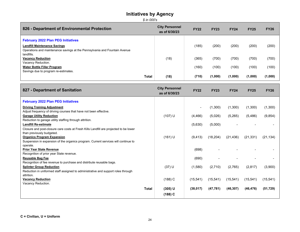| 826 - Department of Environmental Protection                                             | <b>City Personnel</b><br>as of 6/30/23 | <b>FY22</b> | <b>FY23</b> | <b>FY24</b> | <b>FY25</b> | <b>FY26</b> |
|------------------------------------------------------------------------------------------|----------------------------------------|-------------|-------------|-------------|-------------|-------------|
| <b>February 2022 Plan PEG Initiatives</b>                                                |                                        |             |             |             |             |             |
| <b>Landfill Maintenance Savings</b>                                                      |                                        | (185)       | (200)       | (200)       | (200)       | (200)       |
| Operations and maintenance savings at the Pennsylvania and Fountain Avenue<br>landfills. |                                        |             |             |             |             |             |
| <b>Vacancy Reduction</b>                                                                 | (18)                                   | (365)       | (700)       | (700)       | (700)       | (700)       |
| Vacancy Reduction.                                                                       |                                        |             |             |             |             |             |
| <b>Water Bottle Filler Program</b>                                                       |                                        | (160)       | (100)       | (100)       | (100)       | (100)       |
| Savings due to program re-estimates.                                                     |                                        |             |             |             |             |             |
| <b>Total</b>                                                                             | (18)                                   | (710)       | (1,000)     | (1,000)     | (1,000)     | (1,000)     |

| 827 - Department of Sanitation                                                        | <b>City Personnel</b><br>as of 6/30/23 | <b>FY22</b> | <b>FY23</b> | <b>FY24</b> | <b>FY25</b> | <b>FY26</b> |
|---------------------------------------------------------------------------------------|----------------------------------------|-------------|-------------|-------------|-------------|-------------|
| <b>February 2022 Plan PEG Initiatives</b>                                             |                                        |             |             |             |             |             |
| <b>Driving Training Adjustment</b>                                                    |                                        |             | (1,300)     | (1,300)     | (1,300)     | (1,300)     |
| Adjust frequency of driving courses that have not been effective.                     |                                        |             |             |             |             |             |
| <b>Garage Utility Reduction</b>                                                       | $(107)$ U                              | (4, 466)    | (5,026)     | (5,265)     | (5, 486)    | (9, 854)    |
| Reduction to garage utility staffing through attrition.                               |                                        |             |             |             |             |             |
| <b>Landfill Re-estimate</b>                                                           |                                        | (5,630)     | (5,000)     |             |             |             |
| Closure and post-closure care costs at Fresh Kills Landfill are projected to be lower |                                        |             |             |             |             |             |
| than previously budgeted.                                                             |                                        |             |             |             |             |             |
| <b>Organics Program Expansion</b>                                                     | $(161)$ U                              | (9, 413)    | (18, 204)   | (21, 436)   | (21, 331)   | (21, 134)   |
| Suspension in expansion of the organics program. Current services will continue to    |                                        |             |             |             |             |             |
| operate.                                                                              |                                        |             |             |             |             |             |
| <b>Prior Year State Revenue</b>                                                       |                                        | (698)       |             |             |             |             |
| Recognition of prior year State revenue.                                              |                                        |             |             |             |             |             |
| <b>Reusable Bag Fee</b>                                                               |                                        | (690)       |             |             |             |             |
| Recognition of fee revenue to purchase and distribute reusable bags.                  |                                        |             |             |             |             |             |
| <b>Splinter Group Reduction</b>                                                       | $(37)$ U                               | (1,580)     | (2,710)     | (2,765)     | (2,817)     | (3,900)     |
| Reduction in uniformed staff assigned to administrative and support roles through     |                                        |             |             |             |             |             |
| attrition.                                                                            |                                        |             |             |             |             |             |
| <b>Vacancy Reduction</b>                                                              | $(188)$ C                              | (15, 541)   | (15, 541)   | (15, 541)   | (15, 541)   | (15, 541)   |
| Vacancy Reduction.                                                                    |                                        |             |             |             |             |             |
| <b>Total</b>                                                                          | $(305)$ U                              | (38,017)    | (47, 781)   | (46, 307)   | (46, 476)   | (51, 729)   |
|                                                                                       | $(188)$ C                              |             |             |             |             |             |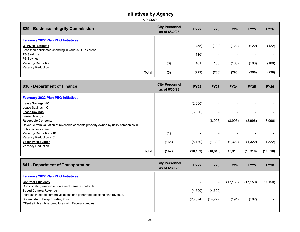| 829 - Business Integrity Commission                   | <b>City Personnel</b><br>as of 6/30/23 | <b>FY22</b> | <b>FY23</b>              | <b>FY24</b> | <b>FY25</b> | <b>FY26</b> |
|-------------------------------------------------------|----------------------------------------|-------------|--------------------------|-------------|-------------|-------------|
| <b>February 2022 Plan PEG Initiatives</b>             |                                        |             |                          |             |             |             |
| <b>OTPS Re-Estimate</b>                               |                                        | (55)        | (120)                    | (122)       | (122)       | (122)       |
| Less than anticipated spending in various OTPS areas. |                                        |             |                          |             |             |             |
| <b>PS Savings</b><br>PS Savings.                      |                                        | (116)       | $\overline{\phantom{0}}$ |             |             |             |
| <b>Vacancy Reduction</b>                              | (3)                                    | (101)       | (168)                    | (168)       | (168)       | (168)       |
| Vacancy Reduction.                                    |                                        |             |                          |             |             |             |
| <b>Total</b>                                          | (3)                                    | (272)       | (288)                    | (290)       | (290)       | (290)       |

| 836 - Department of Finance                                                         | <b>City Personnel</b><br>as of 6/30/23 | <b>FY22</b>              | <b>FY23</b> | <b>FY24</b> | <b>FY25</b> | <b>FY26</b> |
|-------------------------------------------------------------------------------------|----------------------------------------|--------------------------|-------------|-------------|-------------|-------------|
| <b>February 2022 Plan PEG Initiatives</b>                                           |                                        |                          |             |             |             |             |
| <b>Lease Savings - IC</b>                                                           |                                        | (2,000)                  |             |             |             |             |
| Lease Savings - IC.                                                                 |                                        |                          |             |             |             |             |
| <b>Lease Savings</b>                                                                |                                        | (3,000)                  |             |             |             |             |
| Lease Savings.                                                                      |                                        |                          |             |             |             |             |
| <b>Revocable Consents</b>                                                           |                                        | $\overline{\phantom{0}}$ | (8,996)     | (8,996)     | (8,996)     | (8,996)     |
| Revenue from valuation of revocable consents property owned by utility companies in |                                        |                          |             |             |             |             |
| public access areas.                                                                |                                        |                          |             |             |             |             |
| <b>Vacancy Reduction - IC</b>                                                       | (1)                                    |                          |             |             |             |             |
| Vacancy Reduction - IC.                                                             |                                        |                          |             |             |             |             |
| <b>Vacancy Reduction</b>                                                            | (166)                                  | (5, 189)                 | (1,322)     | (1,322)     | (1, 322)    | (1, 322)    |
| Vacancy Reduction.                                                                  |                                        |                          |             |             |             |             |
| <b>Total</b>                                                                        | (167)                                  | (10, 189)                | (10, 318)   | (10, 318)   | (10, 318)   | (10, 318)   |

| 841 - Department of Transportation                                                                        | <b>City Personnel</b><br>as of 6/30/23 | <b>FY22</b> | <b>FY23</b>    | <b>FY24</b>              | <b>FY25</b> | <b>FY26</b> |
|-----------------------------------------------------------------------------------------------------------|----------------------------------------|-------------|----------------|--------------------------|-------------|-------------|
| <b>February 2022 Plan PEG Initiatives</b>                                                                 |                                        |             |                |                          |             |             |
| <b>Contract Efficiency</b><br>Consolidating existing enforcement camera contracts.                        |                                        |             | $\blacksquare$ | (17, 150)                | (17, 150)   | (17, 150)   |
| <b>Speed Camera Revenue</b><br>Increase in speed camera violations has generated additional fine revenue. |                                        | (4,500)     | (4,500)        | $\overline{\phantom{a}}$ | ۰           |             |
| <b>Staten Island Ferry Funding Swap</b><br>Offset eligible city expenditures with Federal stimulus.       |                                        | (28,074)    | (14, 227)      | (191)                    | (162)       |             |
|                                                                                                           |                                        |             |                |                          |             |             |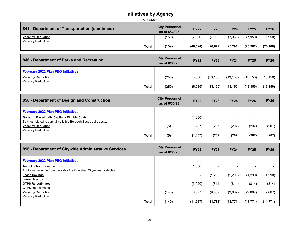| \$ in 000's                                                                                                             |                                        |             |             |             |             |             |
|-------------------------------------------------------------------------------------------------------------------------|----------------------------------------|-------------|-------------|-------------|-------------|-------------|
| 841 - Department of Transportation (continued)                                                                          | <b>City Personnel</b><br>as of 6/30/23 | <b>FY22</b> | <b>FY23</b> | <b>FY24</b> | <b>FY25</b> | <b>FY26</b> |
| <b>Vacancy Reduction</b><br>Vacancy Reduction.                                                                          | (159)                                  | (7,950)     | (7,950)     | (7,950)     | (7,950)     | (7,950)     |
| <b>Total</b>                                                                                                            | (159)                                  | (40, 524)   | (26, 677)   | (25, 291)   | (25, 262)   | (25, 100)   |
| 846 - Department of Parks and Recreation                                                                                | <b>City Personnel</b><br>as of 6/30/23 | <b>FY22</b> | <b>FY23</b> | <b>FY24</b> | <b>FY25</b> | <b>FY26</b> |
| <b>February 2022 Plan PEG Initiatives</b>                                                                               |                                        |             |             |             |             |             |
| <b>Vacancy Reduction</b><br>Vacancy Reduction.                                                                          | (250)                                  | (8,080)     | (13, 150)   | (13, 150)   | (13, 150)   | (13, 150)   |
| <b>Total</b>                                                                                                            | (250)                                  | (8,080)     | (13, 150)   | (13, 150)   | (13, 150)   | (13, 150)   |
| 850 - Department of Design and Construction                                                                             | <b>City Personnel</b><br>as of 6/30/23 | <b>FY22</b> | <b>FY23</b> | <b>FY24</b> | <b>FY25</b> | <b>FY26</b> |
| <b>February 2022 Plan PEG Initiatives</b>                                                                               |                                        |             |             |             |             |             |
| <b>Borough Based Jails Capitally Eligible Costs</b><br>Savings related to capitally eligible Borough Based Jails costs. |                                        | (1,650)     |             |             |             |             |
| <b>Vacancy Reduction</b><br>Vacancy Reduction.                                                                          | (5)                                    | (207)       | (207)       | (207)       | (207)       | (207)       |
| <b>Total</b>                                                                                                            | (5)                                    | (1, 857)    | (207)       | (207)       | (207)       | (207)       |
| 856 - Department of Citywide Administrative Services                                                                    | <b>City Personnel</b><br>as of 6/30/23 | <b>FY22</b> | <b>FY23</b> | <b>FY24</b> | <b>FY25</b> | <b>FY26</b> |

| <b>February 2022 Plan PEG Initiatives</b>                             |       |           |                          |           |           |           |
|-----------------------------------------------------------------------|-------|-----------|--------------------------|-----------|-----------|-----------|
| <b>Auto Auction Revenue</b>                                           |       | (1,000)   | $\overline{\phantom{0}}$ |           |           |           |
| Additional revenue from the sale of relinguished City-owned vehicles. |       |           |                          |           |           |           |
| <b>Lease Savings</b>                                                  |       | $\,$      | (1,290)                  | (1,290)   | (1,290)   | (1, 290)  |
| Lease Savings.                                                        |       |           |                          |           |           |           |
| <b>OTPS Re-estimates</b>                                              |       | (3,920)   | (814)                    | (814)     | (814)     | (814)     |
| <b>OTPS Re-estimates.</b>                                             |       |           |                          |           |           |           |
| <b>Vacancy Reduction</b>                                              | (140) | (6,677)   | (9,667)                  | (9,667)   | (9,667)   | (9,667)   |
| Vacancy Reduction.                                                    |       |           |                          |           |           |           |
| Total                                                                 | (140) | (11, 597) | (11, 771)                | (11, 771) | (11, 771) | (11, 771) |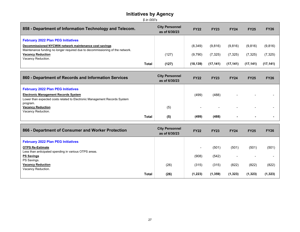*\$ in 000's*

| 858 - Department of Information Technology and Telecom.                                                                                 | <b>City Personnel</b><br>as of 6/30/23 | <b>FY22</b> | <b>FY23</b> | <b>FY24</b> | <b>FY25</b> | <b>FY26</b> |
|-----------------------------------------------------------------------------------------------------------------------------------------|----------------------------------------|-------------|-------------|-------------|-------------|-------------|
| <b>February 2022 Plan PEG Initiatives</b>                                                                                               |                                        |             |             |             |             |             |
| Decommissioned NYCWIN network maintenance cost savings<br>Maintenance funding no longer required due to decommissioning of the network. |                                        | (8,349)     | (9,816)     | (9,816)     | (9,816)     | (9,816)     |
| <b>Vacancy Reduction</b><br>Vacancy Reduction.                                                                                          | (127)                                  | (9,790)     | (7, 325)    | (7, 325)    | (7, 325)    | (7, 325)    |
| Total                                                                                                                                   | (127)                                  | (18, 139)   | (17, 141)   | (17, 141)   | (17, 141)   | (17, 141)   |

| 860 - Department of Records and Information Services                                                              | <b>City Personnel</b><br>as of 6/30/23 | <b>FY22</b> | <b>FY23</b> | <b>FY24</b>              | <b>FY25</b> | <b>FY26</b> |
|-------------------------------------------------------------------------------------------------------------------|----------------------------------------|-------------|-------------|--------------------------|-------------|-------------|
| <b>February 2022 Plan PEG Initiatives</b><br><b>Electronic Management Records System</b>                          |                                        | (499)       | (488)       | $\overline{\phantom{a}}$ |             |             |
| Lower than expected costs related to Electronic Management Records System<br>program.<br><b>Vacancy Reduction</b> | (5)                                    | -           | $\sim$      | $\overline{\phantom{a}}$ | -           |             |
| Vacancy Reduction.<br><b>Total</b>                                                                                | (5)                                    | (499)       | (488)       | $\blacksquare$           |             |             |

┓

| 866 - Department of Consumer and Worker Protection    | <b>City Personnel</b><br>as of 6/30/23 | <b>FY22</b>              | <b>FY23</b> | <b>FY24</b>              | <b>FY25</b>              | <b>FY26</b> |
|-------------------------------------------------------|----------------------------------------|--------------------------|-------------|--------------------------|--------------------------|-------------|
| <b>February 2022 Plan PEG Initiatives</b>             |                                        |                          |             |                          |                          |             |
| <b>OTPS Re-Estimate</b>                               |                                        | $\overline{\phantom{0}}$ | (501)       | (501)                    | (501)                    | (501)       |
| Less than anticipated spending in various OTPS areas. |                                        |                          |             |                          |                          |             |
| <b>PS Savings</b>                                     |                                        | (908)                    | (542)       | $\overline{\phantom{a}}$ | $\overline{\phantom{0}}$ |             |
| PS Savings.                                           |                                        |                          |             |                          |                          |             |
| <b>Vacancy Reduction</b>                              | (26)                                   | (315)                    | (315)       | (822)                    | (822)                    | (822)       |
| Vacancy Reduction.                                    |                                        |                          |             |                          |                          |             |
| Total                                                 | (26)                                   | (1, 223)                 | (1, 359)    | (1, 323)                 | (1, 323)                 | (1, 323)    |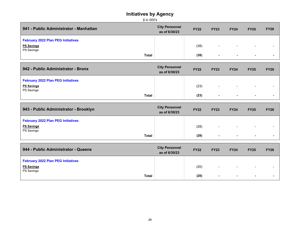| as of 6/30/23 | <b>FY22</b> | <b>FY23</b> | <b>FY24</b> | <b>FY25</b> | <b>FY26</b> |
|---------------|-------------|-------------|-------------|-------------|-------------|
|               |             |             |             |             |             |
|               | (38)        | $\sim$      | $\sim$      | $\sim$      |             |
|               |             |             |             |             |             |
|               |             | (38)        | $\sim$      | $\sim$      | $\sim$      |

| 942 - Public Administrator - Bronx        | <b>City Personnel</b><br>as of 6/30/23 | <b>FY22</b> | <b>FY23</b> | <b>FY24</b>              | <b>FY25</b>              | <b>FY26</b> |
|-------------------------------------------|----------------------------------------|-------------|-------------|--------------------------|--------------------------|-------------|
| <b>February 2022 Plan PEG Initiatives</b> |                                        |             |             |                          |                          |             |
| <b>PS Savings</b>                         |                                        | (23)        | $\sim$      | $\overline{\phantom{0}}$ | $\overline{\phantom{a}}$ |             |
| PS Savings.<br><b>Total</b>               |                                        | (23)        | $\sim$      | $\sim$                   |                          |             |

| 943 - Public Administrator - Brooklyn     | <b>City Personnel</b><br>as of 6/30/23 | <b>FY22</b> | <b>FY23</b> | <b>FY24</b> | <b>FY25</b> | <b>FY26</b> |
|-------------------------------------------|----------------------------------------|-------------|-------------|-------------|-------------|-------------|
| <b>February 2022 Plan PEG Initiatives</b> |                                        |             |             |             |             |             |
| <b>PS Savings</b>                         |                                        | (28)        | $\sim$      | $\sim$      | $\sim$      | -           |
| PS Savings.<br><b>Total</b>               |                                        | (28)        | $\sim$      | $\sim$      | $\sim$      |             |

| 944 - Public Administrator - Queens       | <b>City Personnel</b><br>as of 6/30/23 | <b>FY22</b> | <b>FY23</b> | <b>FY24</b> | <b>FY25</b>              | <b>FY26</b> |
|-------------------------------------------|----------------------------------------|-------------|-------------|-------------|--------------------------|-------------|
| <b>February 2022 Plan PEG Initiatives</b> |                                        |             |             |             |                          |             |
| <b>PS Savings</b>                         |                                        | (20)        | $\sim$      | $\sim$      | $\overline{\phantom{a}}$ |             |
| PS Savings.<br><b>Total</b>               |                                        | (20)        |             | ж.          | . .                      |             |